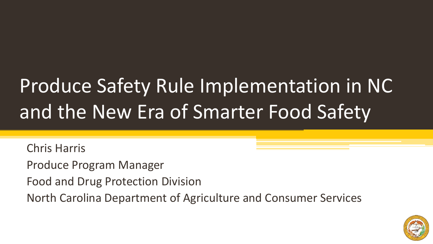# Produce Safety Rule Implementation in NC and the New Era of Smarter Food Safety

Chris Harris

Produce Program Manager

Food and Drug Protection Division

North Carolina Department of Agriculture and Consumer Services

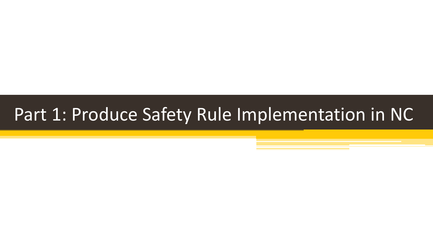#### Part 1: Produce Safety Rule Implementation in NC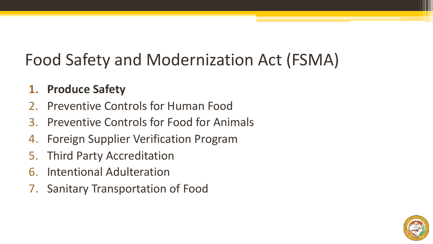#### Food Safety and Modernization Act (FSMA)

#### **1. Produce Safety**

- 2. Preventive Controls for Human Food
- 3. Preventive Controls for Food for Animals
- 4. Foreign Supplier Verification Program
- 5. Third Party Accreditation
- 6. Intentional Adulteration
- 7. Sanitary Transportation of Food

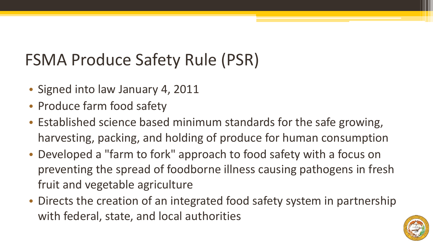#### FSMA Produce Safety Rule (PSR)

- Signed into law January 4, 2011
- Produce farm food safety
- Established science based minimum standards for the safe growing, harvesting, packing, and holding of produce for human consumption
- Developed a "farm to fork" approach to food safety with a focus on preventing the spread of foodborne illness causing pathogens in fresh fruit and vegetable agriculture
- Directs the creation of an integrated food safety system in partnership with federal, state, and local authorities

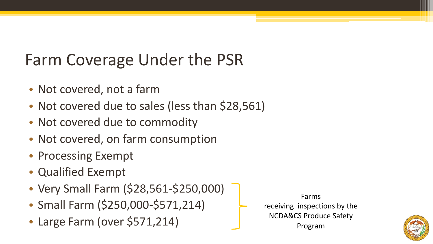#### Farm Coverage Under the PSR

- Not covered, not a farm
- Not covered due to sales (less than \$28,561)
- Not covered due to commodity
- Not covered, on farm consumption
- Processing Exempt
- Qualified Exempt
- Very Small Farm (\$28,561-\$250,000)
- Small Farm (\$250,000-\$571,214)
- Large Farm (over \$571,214)

Farms receiving inspections by the NCDA&CS Produce Safety Program

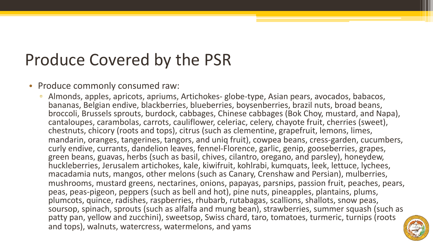#### Produce Covered by the PSR

#### • Produce commonly consumed raw:

▫ Almonds, apples, apricots, apriums, Artichokes- globe-type, Asian pears, avocados, babacos, bananas, Belgian endive, blackberries, blueberries, boysenberries, brazil nuts, broad beans, broccoli, Brussels sprouts, burdock, cabbages, Chinese cabbages (Bok Choy, mustard, and Napa), cantaloupes, carambolas, carrots, cauliflower, celeriac, celery, chayote fruit, cherries (sweet), chestnuts, chicory (roots and tops), citrus (such as clementine, grapefruit, lemons, limes, mandarin, oranges, tangerines, tangors, and uniq fruit), cowpea beans, cress-garden, cucumbers, curly endive, currants, dandelion leaves, fennel-Florence, garlic, genip, gooseberries, grapes, green beans, guavas, herbs (such as basil, chives, cilantro, oregano, and parsley), honeydew, huckleberries, Jerusalem artichokes, kale, kiwifruit, kohlrabi, kumquats, leek, lettuce, lychees, macadamia nuts, mangos, other melons (such as Canary, Crenshaw and Persian), mulberries, mushrooms, mustard greens, nectarines, onions, papayas, parsnips, passion fruit, peaches, pears, peas, peas-pigeon, peppers (such as bell and hot), pine nuts, pineapples, plantains, plums, plumcots, quince, radishes, raspberries, rhubarb, rutabagas, scallions, shallots, snow peas, soursop, spinach, sprouts (such as alfalfa and mung bean), strawberries, summer squash (such as patty pan, yellow and zucchini), sweetsop, Swiss chard, taro, tomatoes, turmeric, turnips (roots and tops), walnuts, watercress, watermelons, and yams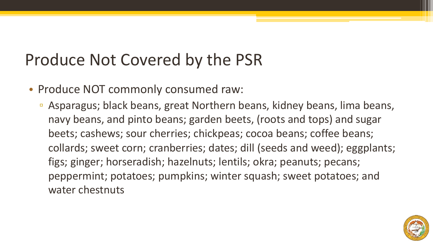#### Produce Not Covered by the PSR

- Produce NOT commonly consumed raw:
	- Asparagus; black beans, great Northern beans, kidney beans, lima beans, navy beans, and pinto beans; garden beets, (roots and tops) and sugar beets; cashews; sour cherries; chickpeas; cocoa beans; coffee beans; collards; sweet corn; cranberries; dates; dill (seeds and weed); eggplants; figs; ginger; horseradish; hazelnuts; lentils; okra; peanuts; pecans; peppermint; potatoes; pumpkins; winter squash; sweet potatoes; and water chestnuts

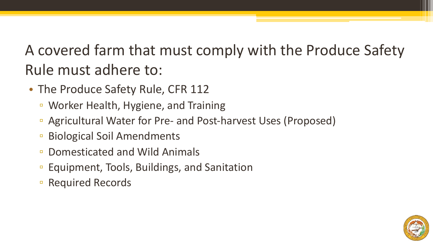#### A covered farm that must comply with the Produce Safety Rule must adhere to:

- The Produce Safety Rule, CFR 112
	- Worker Health, Hygiene, and Training
	- Agricultural Water for Pre- and Post-harvest Uses (Proposed)
	- Biological Soil Amendments
	- Domesticated and Wild Animals
	- Equipment, Tools, Buildings, and Sanitation
	- Required Records

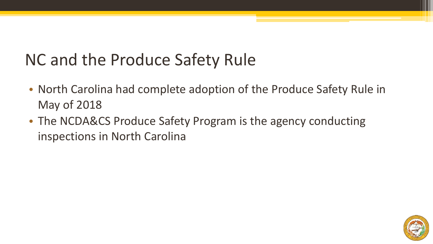#### NC and the Produce Safety Rule

- North Carolina had complete adoption of the Produce Safety Rule in May of 2018
- The NCDA&CS Produce Safety Program is the agency conducting inspections in North Carolina

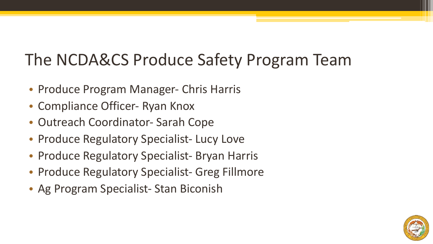#### The NCDA&CS Produce Safety Program Team

- Produce Program Manager- Chris Harris
- Compliance Officer- Ryan Knox
- Outreach Coordinator- Sarah Cope
- Produce Regulatory Specialist- Lucy Love
- Produce Regulatory Specialist- Bryan Harris
- Produce Regulatory Specialist- Greg Fillmore
- Ag Program Specialist- Stan Biconish

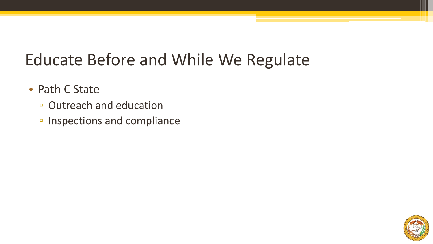#### Educate Before and While We Regulate

- Path C State
	- Outreach and education
	- Inspections and compliance

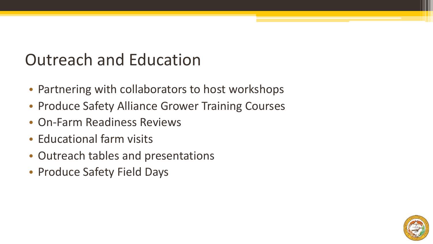#### Outreach and Education

- Partnering with collaborators to host workshops
- Produce Safety Alliance Grower Training Courses
- On-Farm Readiness Reviews
- Educational farm visits
- Outreach tables and presentations
- Produce Safety Field Days

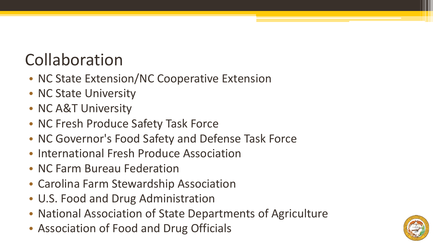### Collaboration

- NC State Extension/NC Cooperative Extension
- NC State University
- NC A&T University
- NC Fresh Produce Safety Task Force
- NC Governor's Food Safety and Defense Task Force
- International Fresh Produce Association
- NC Farm Bureau Federation
- Carolina Farm Stewardship Association
- U.S. Food and Drug Administration
- National Association of State Departments of Agriculture
- Association of Food and Drug Officials

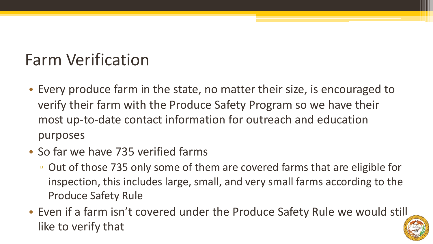#### Farm Verification

- Every produce farm in the state, no matter their size, is encouraged to verify their farm with the Produce Safety Program so we have their most up-to-date contact information for outreach and education purposes
- So far we have 735 verified farms
	- Out of those 735 only some of them are covered farms that are eligible for inspection, this includes large, small, and very small farms according to the Produce Safety Rule
- Even if a farm isn't covered under the Produce Safety Rule we would still like to verify that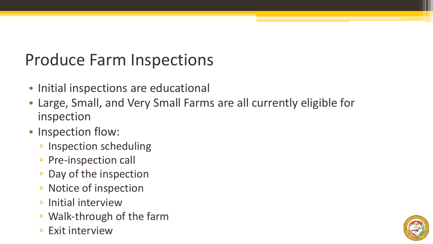#### Produce Farm Inspections

- Initial inspections are educational
- Large, Small, and Very Small Farms are all currently eligible for inspection
- Inspection flow:
	- Inspection scheduling
	- Pre-inspection call
	- Day of the inspection
	- Notice of inspection
	- Initial interview
	- Walk-through of the farm
	- Exit interview

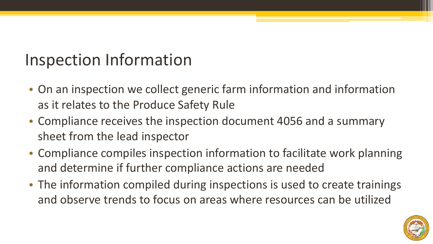#### Inspection Information

- On an inspection we collect generic farm information and information as it relates to the Produce Safety Rule
- Compliance receives the inspection document 4056 and a summary sheet from the lead inspector
- Compliance compiles inspection information to facilitate work planning and determine if further compliance actions are needed
- The information compiled during inspections is used to create trainings and observe trends to focus on areas where resources can be utilized

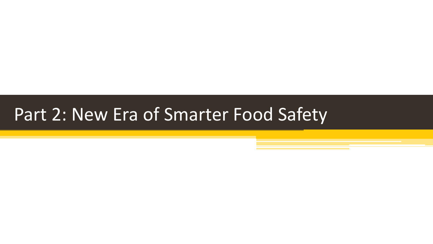#### Part 2: New Era of Smarter Food Safety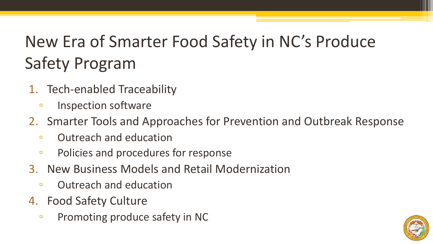## New Era of Smarter Food Safety in NC's Produce Safety Program

- 1. Tech-enabled Traceability
	- Inspection software
- 2. Smarter Tools and Approaches for Prevention and Outbreak Response
	- Outreach and education
	- Policies and procedures for response
- 3. New Business Models and Retail Modernization
	- Outreach and education
- 4. Food Safety Culture
	- Promoting produce safety in NC

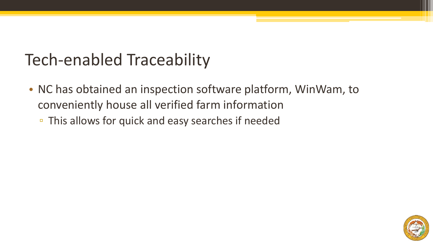#### Tech-enabled Traceability

- NC has obtained an inspection software platform, WinWam, to conveniently house all verified farm information
	- This allows for quick and easy searches if needed

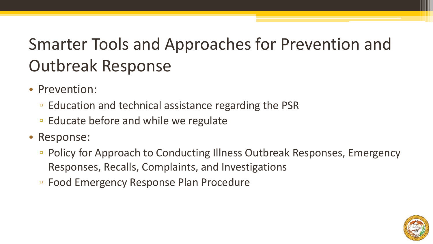## Smarter Tools and Approaches for Prevention and Outbreak Response

- Prevention:
	- Education and technical assistance regarding the PSR
	- Educate before and while we regulate
- Response:
	- Policy for Approach to Conducting Illness Outbreak Responses, Emergency Responses, Recalls, Complaints, and Investigations
	- Food Emergency Response Plan Procedure

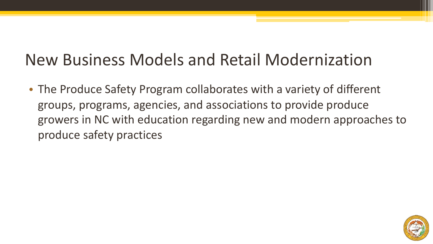#### New Business Models and Retail Modernization

• The Produce Safety Program collaborates with a variety of different groups, programs, agencies, and associations to provide produce growers in NC with education regarding new and modern approaches to produce safety practices

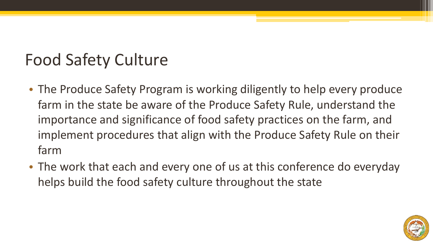#### Food Safety Culture

- The Produce Safety Program is working diligently to help every produce farm in the state be aware of the Produce Safety Rule, understand the importance and significance of food safety practices on the farm, and implement procedures that align with the Produce Safety Rule on their farm
- The work that each and every one of us at this conference do everyday helps build the food safety culture throughout the state